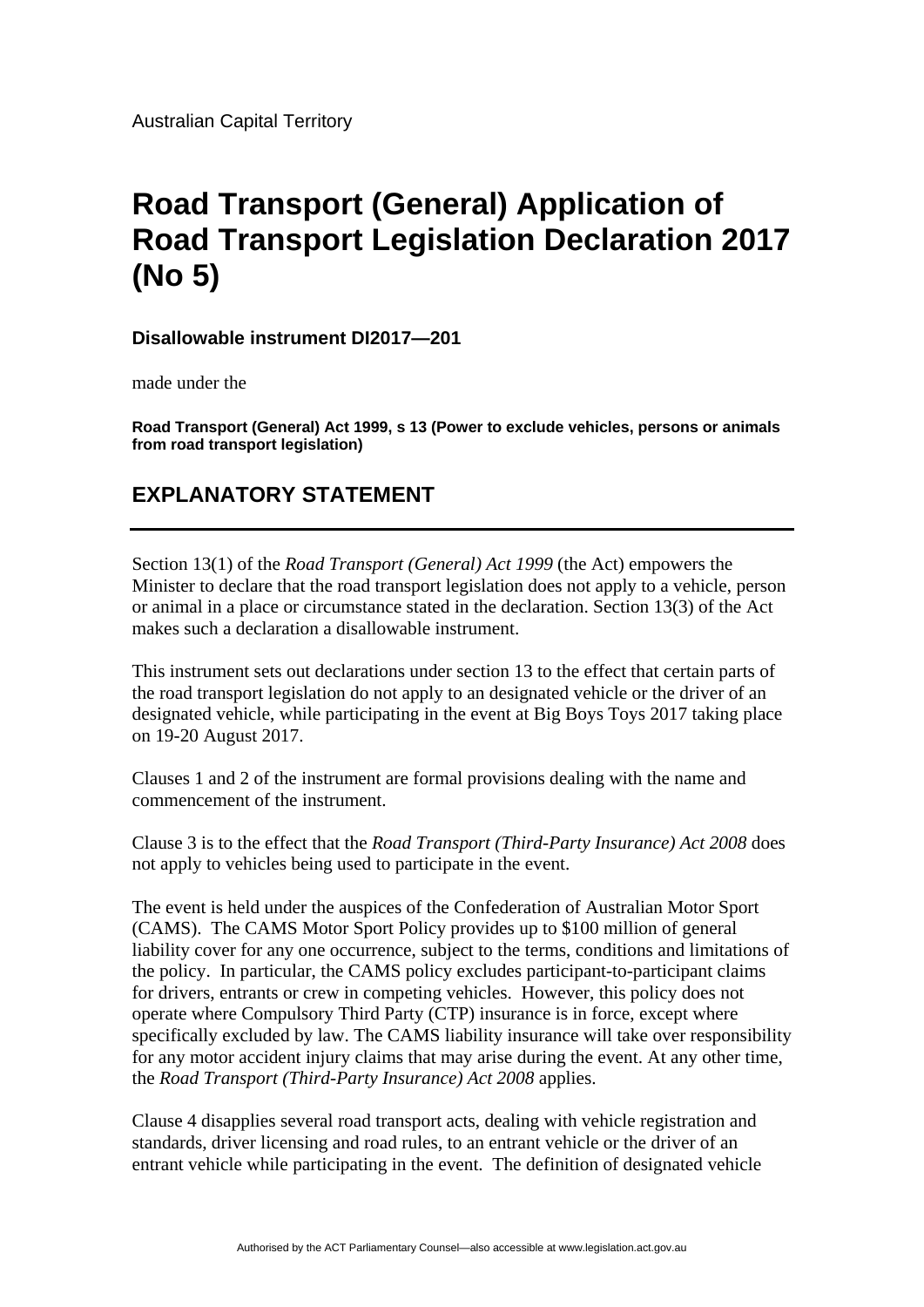Australian Capital Territory

## **Road Transport (General) Application of Road Transport Legislation Declaration 2017 (No 5)**

**Disallowable instrument DI2017—201** 

made under the

**Road Transport (General) Act 1999, s 13 (Power to exclude vehicles, persons or animals from road transport legislation)** 

## **EXPLANATORY STATEMENT**

Section 13(1) of the *Road Transport (General) Act 1999* (the Act) empowers the Minister to declare that the road transport legislation does not apply to a vehicle, person or animal in a place or circumstance stated in the declaration. Section 13(3) of the Act makes such a declaration a disallowable instrument.

This instrument sets out declarations under section 13 to the effect that certain parts of the road transport legislation do not apply to an designated vehicle or the driver of an designated vehicle, while participating in the event at Big Boys Toys 2017 taking place on 19-20 August 2017.

Clauses 1 and 2 of the instrument are formal provisions dealing with the name and commencement of the instrument.

Clause 3 is to the effect that the *Road Transport (Third-Party Insurance) Act 2008* does not apply to vehicles being used to participate in the event.

The event is held under the auspices of the Confederation of Australian Motor Sport (CAMS). The CAMS Motor Sport Policy provides up to \$100 million of general liability cover for any one occurrence, subject to the terms, conditions and limitations of the policy. In particular, the CAMS policy excludes participant-to-participant claims for drivers, entrants or crew in competing vehicles. However, this policy does not operate where Compulsory Third Party (CTP) insurance is in force, except where specifically excluded by law. The CAMS liability insurance will take over responsibility for any motor accident injury claims that may arise during the event. At any other time, the *Road Transport (Third-Party Insurance) Act 2008* applies.

Clause 4 disapplies several road transport acts, dealing with vehicle registration and standards, driver licensing and road rules, to an entrant vehicle or the driver of an entrant vehicle while participating in the event. The definition of designated vehicle